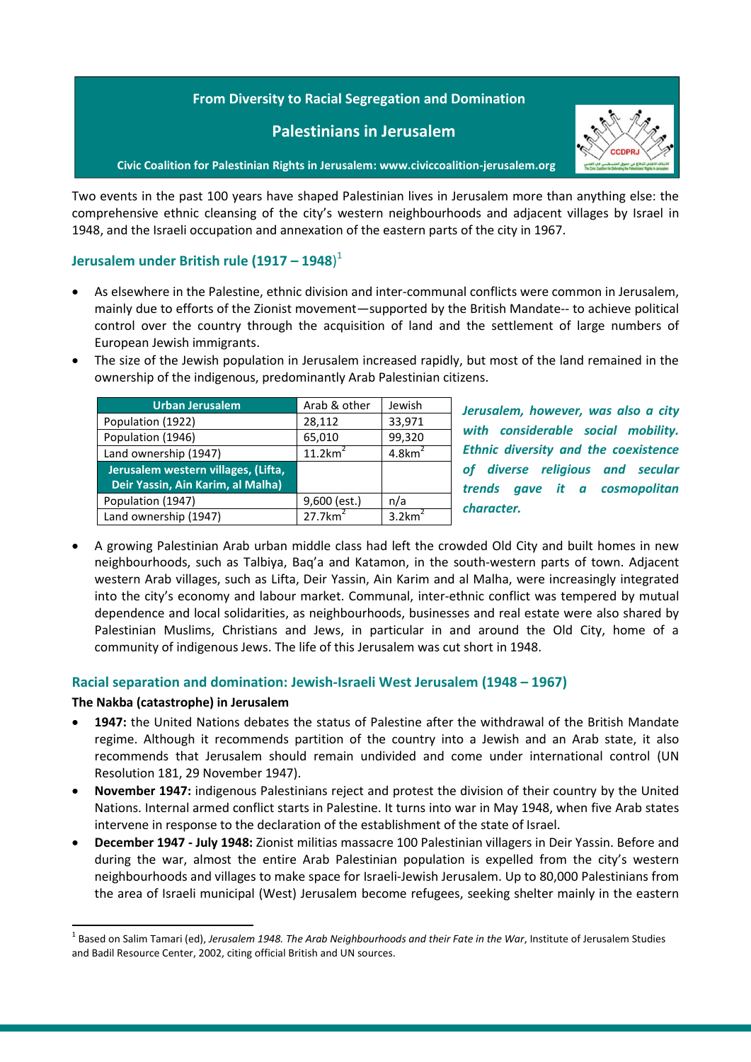## **From Diversity to Racial Segregation and Domination**

## **Palestinians in Jerusalem**



**Civic Coalition for Palestinian Rights in Jerusalem: www.civiccoalition-jerusalem.org**

Two events in the past 100 years have shaped Palestinian lives in Jerusalem more than anything else: the comprehensive ethnic cleansing of the city's western neighbourhoods and adjacent villages by Israel in 1948, and the Israeli occupation and annexation of the eastern parts of the city in 1967.

## **Jerusalem under British rule (1917 – 1948**) 1

- As elsewhere in the Palestine, ethnic division and inter-communal conflicts were common in Jerusalem, mainly due to efforts of the Zionist movement—supported by the British Mandate-- to achieve political control over the country through the acquisition of land and the settlement of large numbers of European Jewish immigrants.
- The size of the Jewish population in Jerusalem increased rapidly, but most of the land remained in the ownership of the indigenous, predominantly Arab Palestinian citizens.

| <b>Urban Jerusalem</b>              | Arab & other           | Jewish                |
|-------------------------------------|------------------------|-----------------------|
| Population (1922)                   | 28,112                 | 33,971                |
| Population (1946)                   | 65,010                 | 99,320                |
| Land ownership (1947)               | 11.2km <sup>2</sup>    | $4.8$ km <sup>4</sup> |
| Jerusalem western villages, (Lifta, |                        |                       |
| Deir Yassin, Ain Karim, al Malha)   |                        |                       |
| Population (1947)                   | $9,600$ (est.)         | n/a                   |
| Land ownership (1947)               | $27.7$ km <sup>2</sup> | $3.2$ km <sup>2</sup> |

*Jerusalem, however, was also a city with considerable social mobility. Ethnic diversity and the coexistence of diverse religious and secular trends gave it a cosmopolitan character.*

 A growing Palestinian Arab urban middle class had left the crowded Old City and built homes in new neighbourhoods, such as Talbiya, Baq'a and Katamon, in the south-western parts of town. Adjacent western Arab villages, such as Lifta, Deir Yassin, Ain Karim and al Malha, were increasingly integrated into the city's economy and labour market. Communal, inter-ethnic conflict was tempered by mutual dependence and local solidarities, as neighbourhoods, businesses and real estate were also shared by Palestinian Muslims, Christians and Jews, in particular in and around the Old City, home of a community of indigenous Jews. The life of this Jerusalem was cut short in 1948.

## **Racial separation and domination: Jewish-Israeli West Jerusalem (1948 – 1967)**

#### **The Nakba (catastrophe) in Jerusalem**

**.** 

- **1947:** the United Nations debates the status of Palestine after the withdrawal of the British Mandate regime. Although it recommends partition of the country into a Jewish and an Arab state, it also recommends that Jerusalem should remain undivided and come under international control (UN Resolution 181, 29 November 1947).
- **November 1947:** indigenous Palestinians reject and protest the division of their country by the United Nations. Internal armed conflict starts in Palestine. It turns into war in May 1948, when five Arab states intervene in response to the declaration of the establishment of the state of Israel.
- **December 1947 - July 1948:** Zionist militias massacre 100 Palestinian villagers in Deir Yassin. Before and during the war, almost the entire Arab Palestinian population is expelled from the city's western neighbourhoods and villages to make space for Israeli-Jewish Jerusalem. Up to 80,000 Palestinians from the area of Israeli municipal (West) Jerusalem become refugees, seeking shelter mainly in the eastern

<sup>&</sup>lt;sup>1</sup> Based on Salim Tamari (ed), *Jerusalem 1948. The Arab Neighbourhoods and their Fate in the War*, Institute of Jerusalem Studies and Badil Resource Center, 2002, citing official British and UN sources.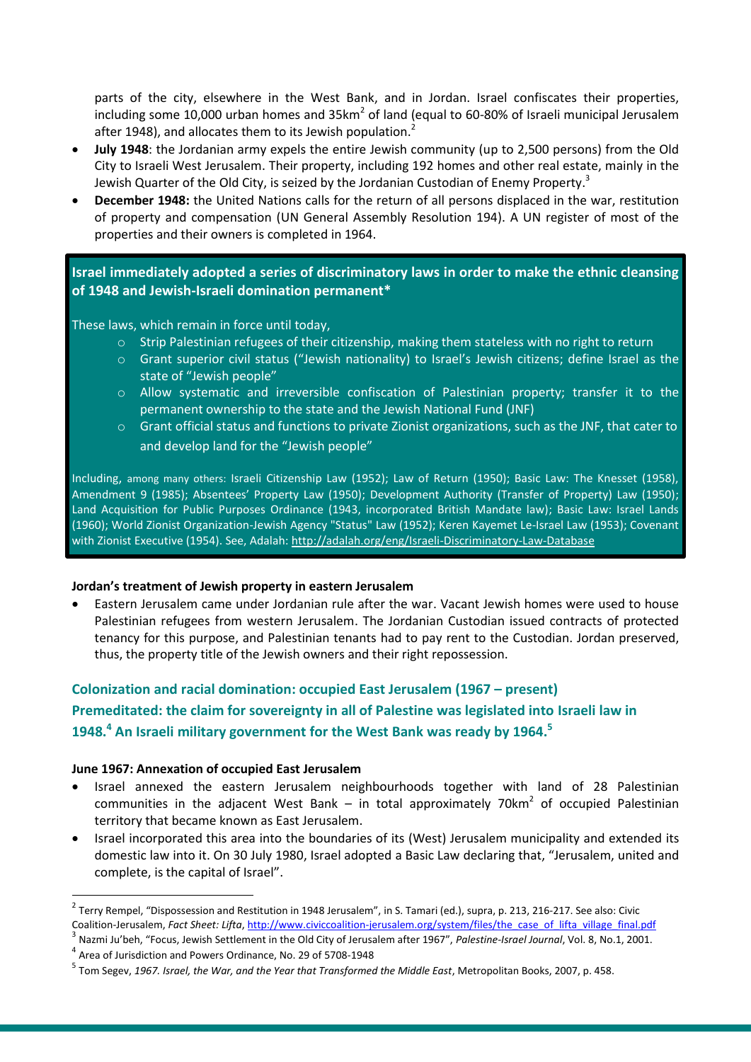parts of the city, elsewhere in the West Bank, and in Jordan. Israel confiscates their properties, including some 10,000 urban homes and 35km<sup>2</sup> of land (equal to 60-80% of Israeli municipal Jerusalem after 1948), and allocates them to its Jewish population.<sup>2</sup>

- **July 1948**: the Jordanian army expels the entire Jewish community (up to 2,500 persons) from the Old City to Israeli West Jerusalem. Their property, including 192 homes and other real estate, mainly in the Jewish Quarter of the Old City, is seized by the Jordanian Custodian of Enemy Property.<sup>3</sup>
- **December 1948:** the United Nations calls for the return of all persons displaced in the war, restitution of property and compensation (UN General Assembly Resolution 194). A UN register of most of the properties and their owners is completed in 1964.

## **Israel immediately adopted a series of discriminatory laws in order to make the ethnic cleansing of 1948 and Jewish-Israeli domination permanent\***

These laws, which remain in force until today,

- o Strip Palestinian refugees of their citizenship, making them stateless with no right to return
- o Grant superior civil status ("Jewish nationality) to Israel's Jewish citizens; define Israel as the state of "Jewish people"
- o Allow systematic and irreversible confiscation of Palestinian property; transfer it to the permanent ownership to the state and the Jewish National Fund (JNF)
- $\circ$  Grant official status and functions to private Zionist organizations, such as the JNF, that cater to and develop land for the "Jewish people"

Including, among many others: Israeli Citizenship Law (1952); Law of Return (1950); Basic Law: The Knesset (1958), Amendment 9 (1985); Absentees' Property Law (1950); Development Authority (Transfer of Property) Law (1950); Land Acquisition for Public Purposes Ordinance (1943, incorporated British Mandate law); Basic Law: Israel Lands (1960); World Zionist Organization-Jewish Agency "Status" Law (1952); Keren Kayemet Le-Israel Law (1953); Covenant with Zionist Executive (1954). See, Adalah:<http://adalah.org/eng/Israeli-Discriminatory-Law-Database>

#### **Jordan's treatment of Jewish property in eastern Jerusalem**

 Eastern Jerusalem came under Jordanian rule after the war. Vacant Jewish homes were used to house Palestinian refugees from western Jerusalem. The Jordanian Custodian issued contracts of protected tenancy for this purpose, and Palestinian tenants had to pay rent to the Custodian. Jordan preserved, thus, the property title of the Jewish owners and their right repossession.

# **Colonization and racial domination: occupied East Jerusalem (1967 – present)**

# **Premeditated: the claim for sovereignty in all of Palestine was legislated into Israeli law in 1948. 4 An Israeli military government for the West Bank was ready by 1964.<sup>5</sup>**

#### **June 1967: Annexation of occupied East Jerusalem**

- Israel annexed the eastern Jerusalem neighbourhoods together with land of 28 Palestinian communities in the adjacent West Bank  $-$  in total approximately 70km<sup>2</sup> of occupied Palestinian territory that became known as East Jerusalem.
- Israel incorporated this area into the boundaries of its (West) Jerusalem municipality and extended its domestic law into it. On 30 July 1980, Israel adopted a Basic Law declaring that, "Jerusalem, united and complete, is the capital of Israel".

3 Nazmi Ju'beh, "Focus, Jewish Settlement in the Old City of Jerusalem after 1967", *Palestine-Israel Journal*, Vol. 8, No.1, 2001.

<sup>4</sup> Area of Jurisdiction and Powers Ordinance, No. 29 of 5708-1948

**.** 

 $^2$  Terry Rempel, "Dispossession and Restitution in 1948 Jerusalem", in S. Tamari (ed.), supra, p. 213, 216-217. See also: Civic Coalition-Jerusalem, *Fact Sheet: Lifta*[, http://www.civiccoalition-jerusalem.org/system/files/the\\_case\\_of\\_lifta\\_village\\_final.pdf](http://www.civiccoalition-jerusalem.org/system/files/the_case_of_lifta_village_final.pdf)

<sup>5</sup> Tom Segev, *1967. Israel, the War, and the Year that Transformed the Middle East*, Metropolitan Books, 2007, p. 458.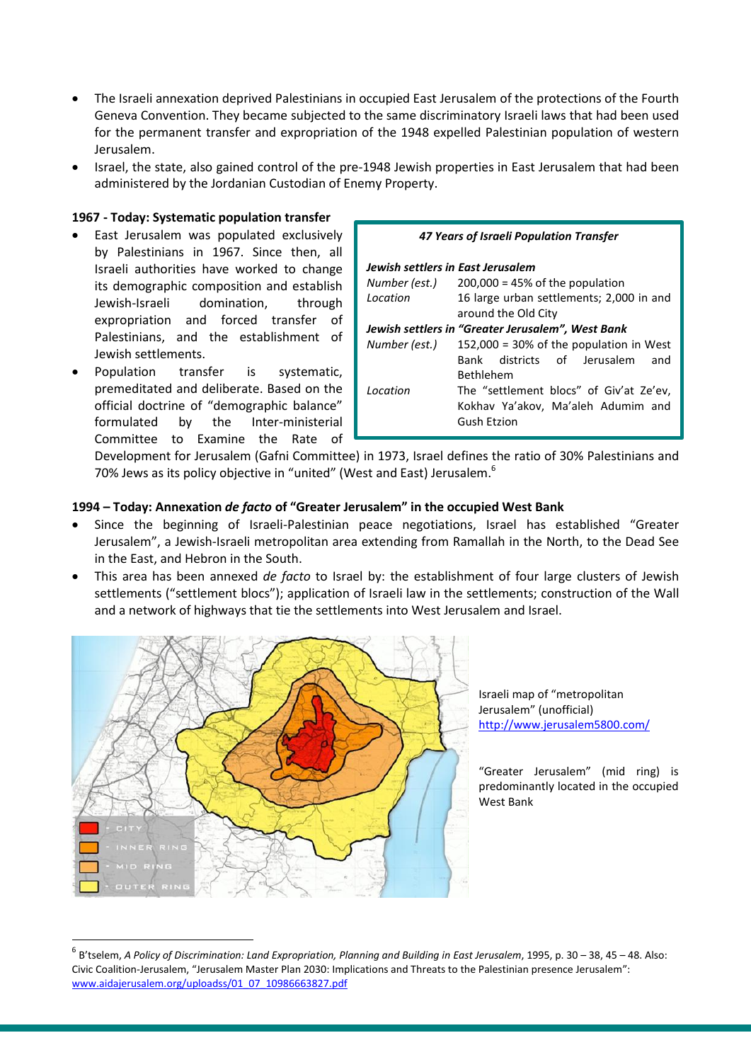- The Israeli annexation deprived Palestinians in occupied East Jerusalem of the protections of the Fourth Geneva Convention. They became subjected to the same discriminatory Israeli laws that had been used for the permanent transfer and expropriation of the 1948 expelled Palestinian population of western Jerusalem.
- Israel, the state, also gained control of the pre-1948 Jewish properties in East Jerusalem that had been administered by the Jordanian Custodian of Enemy Property.

### **1967 - Today: Systematic population transfer**

- East Jerusalem was populated exclusively by Palestinians in 1967. Since then, all Israeli authorities have worked to change its demographic composition and establish Jewish-Israeli domination, through expropriation and forced transfer of Palestinians, and the establishment of Jewish settlements.
- Population transfer is systematic, premeditated and deliberate. Based on the official doctrine of "demographic balance" formulated by the Inter-ministerial Committee to Examine the Rate of

| 47 Years of Israeli Population Transfer |                                                   |  |
|-----------------------------------------|---------------------------------------------------|--|
|                                         | Jewish settlers in East Jerusalem                 |  |
|                                         | Number (est.) $200,000 = 45\%$ of the population  |  |
| Location                                | 16 large urban settlements; 2,000 in and          |  |
|                                         | around the Old City                               |  |
|                                         | Jewish settlers in "Greater Jerusalem", West Bank |  |
| Number (est.)                           | 152,000 = 30% of the population in West           |  |
|                                         | Bank districts of Jerusalem<br>and                |  |
|                                         | <b>Bethlehem</b>                                  |  |
| Location                                | The "settlement blocs" of Giv'at Ze'ev,           |  |
|                                         | Kokhav Ya'akov, Ma'aleh Adumim and                |  |

Gush Etzion

Development for Jerusalem (Gafni Committee) in 1973, Israel defines the ratio of 30% Palestinians and 70% Jews as its policy objective in "united" (West and East) Jerusalem.<sup>6</sup>

## **1994 – Today: Annexation** *de facto* **of "Greater Jerusalem" in the occupied West Bank**

- Since the beginning of Israeli-Palestinian peace negotiations, Israel has established "Greater Jerusalem", a Jewish-Israeli metropolitan area extending from Ramallah in the North, to the Dead See in the East, and Hebron in the South.
- This area has been annexed *de facto* to Israel by: the establishment of four large clusters of Jewish settlements ("settlement blocs"); application of Israeli law in the settlements; construction of the Wall and a network of highways that tie the settlements into West Jerusalem and Israel.



1

Israeli map of "metropolitan Jerusalem" (unofficial) <http://www.jerusalem5800.com/>

"Greater Jerusalem" (mid ring) is predominantly located in the occupied West Bank

<sup>6</sup> B'tselem, *A Policy of Discrimination: Land Expropriation, Planning and Building in East Jerusalem*, 1995, p. 30 – 38, 45 – 48. Also: Civic Coalition-Jerusalem, "Jerusalem Master Plan 2030: Implications and Threats to the Palestinian presence Jerusalem": [www.aidajerusalem.org/uploadss/01\\_07\\_10986663827.pdf](http://www.aidajerusalem.org/uploadss/01_07_10986663827.pdf)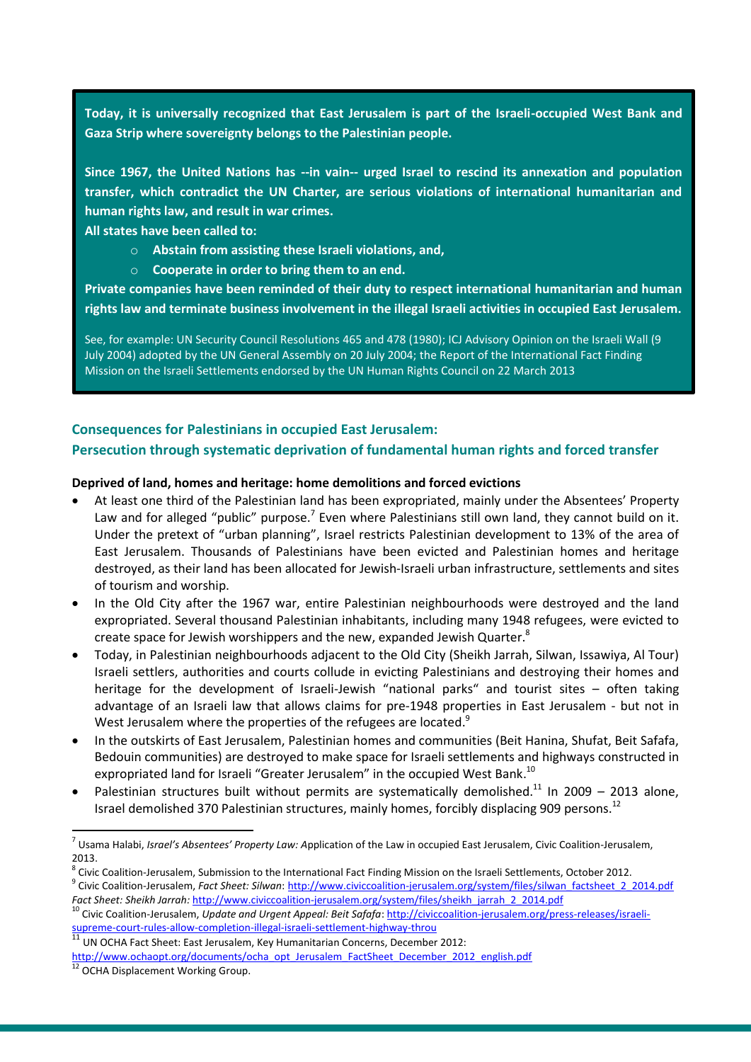**Today, it is universally recognized that East Jerusalem is part of the Israeli-occupied West Bank and Gaza Strip where sovereignty belongs to the Palestinian people.** 

**Since 1967, the United Nations has --in vain-- urged Israel to rescind its annexation and population transfer, which contradict the UN Charter, are serious violations of international humanitarian and human rights law, and result in war crimes.** 

**All states have been called to:**

- o **Abstain from assisting these Israeli violations, and,**
- o **Cooperate in order to bring them to an end.**

**Private companies have been reminded of their duty to respect international humanitarian and human rights law and terminate business involvement in the illegal Israeli activities in occupied East Jerusalem.**

See, for example: UN Security Council Resolutions 465 and 478 (1980); ICJ Advisory Opinion on the Israeli Wall (9 July 2004) adopted by the UN General Assembly on 20 July 2004; the Report of the International Fact Finding Mission on the Israeli Settlements endorsed by the UN Human Rights Council on 22 March 2013

## **Consequences for Palestinians in occupied East Jerusalem:**

## **Persecution through systematic deprivation of fundamental human rights and forced transfer**

#### **Deprived of land, homes and heritage: home demolitions and forced evictions**

- At least one third of the Palestinian land has been expropriated, mainly under the Absentees' Property Law and for alleged "public" purpose.<sup>7</sup> Even where Palestinians still own land, they cannot build on it. Under the pretext of "urban planning", Israel restricts Palestinian development to 13% of the area of East Jerusalem. Thousands of Palestinians have been evicted and Palestinian homes and heritage destroyed, as their land has been allocated for Jewish-Israeli urban infrastructure, settlements and sites of tourism and worship.
- In the Old City after the 1967 war, entire Palestinian neighbourhoods were destroyed and the land expropriated. Several thousand Palestinian inhabitants, including many 1948 refugees, were evicted to create space for Jewish worshippers and the new, expanded Jewish Quarter.<sup>8</sup>
- Today, in Palestinian neighbourhoods adjacent to the Old City (Sheikh Jarrah, Silwan, Issawiya, Al Tour) Israeli settlers, authorities and courts collude in evicting Palestinians and destroying their homes and heritage for the development of Israeli-Jewish "national parks" and tourist sites - often taking advantage of an Israeli law that allows claims for pre-1948 properties in East Jerusalem - but not in West Jerusalem where the properties of the refugees are located.<sup>9</sup>
- In the outskirts of East Jerusalem, Palestinian homes and communities (Beit Hanina, Shufat, Beit Safafa, Bedouin communities) are destroyed to make space for Israeli settlements and highways constructed in expropriated land for Israeli "Greater Jerusalem" in the occupied West Bank.<sup>10</sup>
- Palestinian structures built without permits are systematically demolished.<sup>11</sup> In 2009 2013 alone, Israel demolished 370 Palestinian structures, mainly homes, forcibly displacing 909 persons.<sup>12</sup>

1

<sup>7</sup> Usama Halabi, *Israel's Absentees' Property Law: A*pplication of the Law in occupied East Jerusalem, Civic Coalition-Jerusalem, 2013.

<sup>&</sup>lt;sup>8</sup> Civic Coalition-Jerusalem, Submission to the International Fact Finding Mission on the Israeli Settlements, October 2012. <sup>9</sup> Civic Coalition-Jerusalem, *Fact Sheet: Silwan*: [http://www.civiccoalition-jerusalem.org/system/files/silwan\\_factsheet\\_2\\_2014.pdf](http://www.civiccoalition-jerusalem.org/system/files/silwan_factsheet_2_2014.pdf)

*Fact Sheet: Sheikh Jarrah:* [http://www.civiccoalition-jerusalem.org/system/files/sheikh\\_jarrah\\_2\\_2014.pdf](http://www.civiccoalition-jerusalem.org/system/files/sheikh_jarrah_2_2014.pdf)

<sup>&</sup>lt;sup>10</sup> Civic Coalition-Jerusalem, *Update and Urgent Appeal: Beit Safafa*: [http://civiccoalition-jerusalem.org/press-releases/israeli](http://civiccoalition-jerusalem.org/press-releases/israeli-supreme-court-rules-allow-completion-illegal-israeli-settlement-highway-throu)[supreme-court-rules-allow-completion-illegal-israeli-settlement-highway-throu](http://civiccoalition-jerusalem.org/press-releases/israeli-supreme-court-rules-allow-completion-illegal-israeli-settlement-highway-throu)

<sup>11</sup> UN OCHA Fact Sheet: East Jerusalem, Key Humanitarian Concerns, December 2012:

[http://www.ochaopt.org/documents/ocha\\_opt\\_Jerusalem\\_FactSheet\\_December\\_2012\\_english.pdf](http://www.ochaopt.org/documents/ocha_opt_Jerusalem_FactSheet_December_2012_english.pdf)

OCHA Displacement Working Group.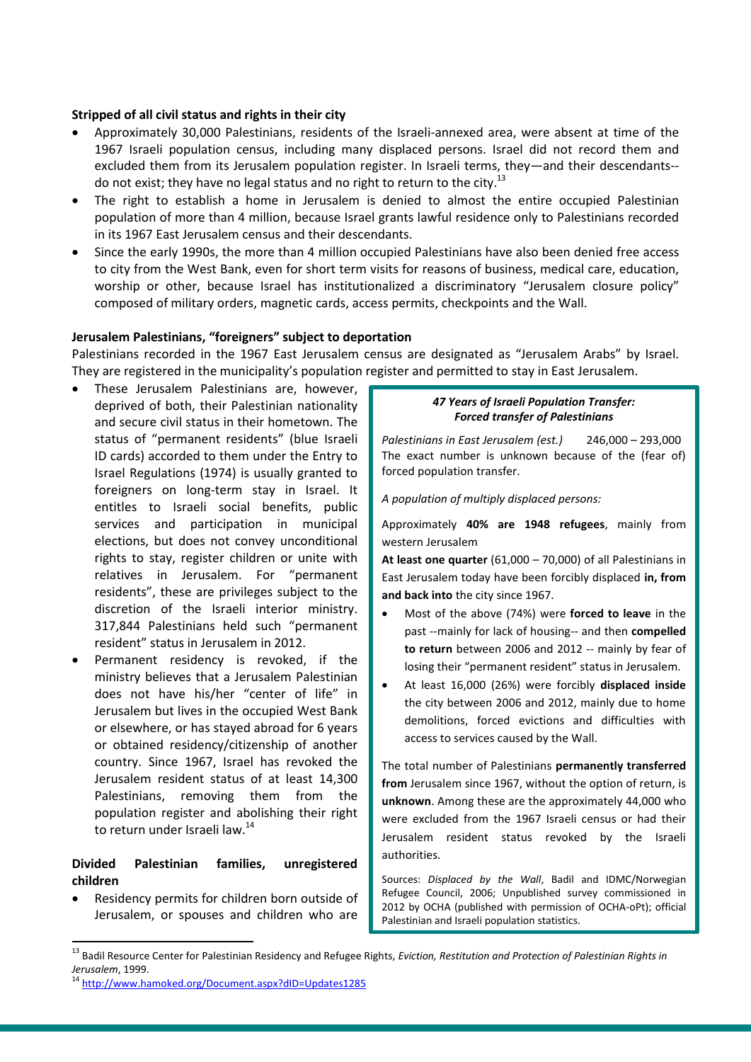### **Stripped of all civil status and rights in their city**

- Approximately 30,000 Palestinians, residents of the Israeli-annexed area, were absent at time of the 1967 Israeli population census, including many displaced persons. Israel did not record them and excluded them from its Jerusalem population register. In Israeli terms, they—and their descendants- do not exist; they have no legal status and no right to return to the city.<sup>13</sup>
- The right to establish a home in Jerusalem is denied to almost the entire occupied Palestinian population of more than 4 million, because Israel grants lawful residence only to Palestinians recorded in its 1967 East Jerusalem census and their descendants.
- Since the early 1990s, the more than 4 million occupied Palestinians have also been denied free access to city from the West Bank, even for short term visits for reasons of business, medical care, education, worship or other, because Israel has institutionalized a discriminatory "Jerusalem closure policy" composed of military orders, magnetic cards, access permits, checkpoints and the Wall.

## **Jerusalem Palestinians, "foreigners" subject to deportation**

Palestinians recorded in the 1967 East Jerusalem census are designated as "Jerusalem Arabs" by Israel. They are registered in the municipality's population register and permitted to stay in East Jerusalem.

- These Jerusalem Palestinians are, however, deprived of both, their Palestinian nationality and secure civil status in their hometown. The status of "permanent residents" (blue Israeli ID cards) accorded to them under the Entry to Israel Regulations (1974) is usually granted to foreigners on long-term stay in Israel. It entitles to Israeli social benefits, public services and participation in municipal elections, but does not convey unconditional rights to stay, register children or unite with relatives in Jerusalem. For "permanent residents", these are privileges subject to the discretion of the Israeli interior ministry. 317,844 Palestinians held such "permanent resident" status in Jerusalem in 2012.
- Permanent residency is revoked, if the ministry believes that a Jerusalem Palestinian does not have his/her "center of life" in Jerusalem but lives in the occupied West Bank or elsewhere, or has stayed abroad for 6 years or obtained residency/citizenship of another country. Since 1967, Israel has revoked the Jerusalem resident status of at least 14,300 Palestinians, removing them from the population register and abolishing their right to return under Israeli law.<sup>14</sup>

## **Divided Palestinian families, unregistered children**

 Residency permits for children born outside of Jerusalem, or spouses and children who are

1

#### *47 Years of Israeli Population Transfer: Forced transfer of Palestinians*

*Palestinians in East Jerusalem (est.)* 246,000 – 293,000 The exact number is unknown because of the (fear of) forced population transfer.

*A population of multiply displaced persons:*

Approximately **40% are 1948 refugees**, mainly from western Jerusalem

**At least one quarter** (61,000 – 70,000) of all Palestinians in East Jerusalem today have been forcibly displaced **in, from and back into** the city since 1967.

- Most of the above (74%) were **forced to leave** in the past --mainly for lack of housing-- and then **compelled to return** between 2006 and 2012 -- mainly by fear of losing their "permanent resident" status in Jerusalem.
- At least 16,000 (26%) were forcibly **displaced inside** the city between 2006 and 2012, mainly due to home demolitions, forced evictions and difficulties with access to services caused by the Wall.

The total number of Palestinians **permanently transferred from** Jerusalem since 1967, without the option of return, is **unknown**. Among these are the approximately 44,000 who were excluded from the 1967 Israeli census or had their Jerusalem resident status revoked by the Israeli authorities.

Sources: *Displaced by the Wall*, Badil and IDMC/Norwegian Refugee Council, 2006; Unpublished survey commissioned in 2012 by OCHA (published with permission of OCHA-oPt); official Palestinian and Israeli population statistics.

<sup>&</sup>lt;sup>13</sup> Badil Resource Center for Palestinian Residency and Refugee Rights, *Eviction, Restitution and Protection of Palestinian Rights in Jerusalem*, 1999.

<sup>&</sup>lt;sup>14</sup> <http://www.hamoked.org/Document.aspx?dID=Updates1285>